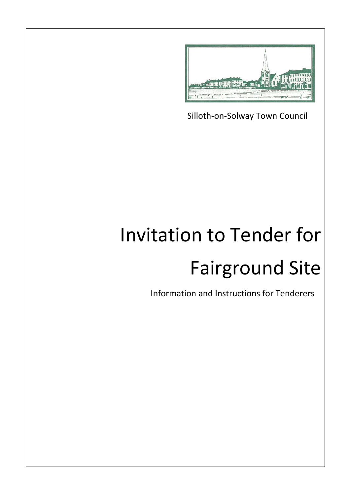

Silloth-on-Solway Town Council

# Invitation to Tender for Fairground Site

Information and Instructions for Tenderers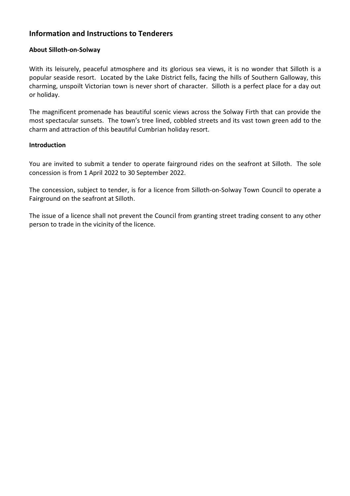## **Information and Instructions to Tenderers**

## **About Silloth-on-Solway**

With its leisurely, peaceful atmosphere and its glorious sea views, it is no wonder that Silloth is a popular seaside resort. Located by the Lake District fells, facing the hills of Southern Galloway, this charming, unspoilt Victorian town is never short of character. Silloth is a perfect place for a day out or holiday.

The magnificent promenade has beautiful scenic views across the Solway Firth that can provide the most spectacular sunsets. The town's tree lined, cobbled streets and its vast town green add to the charm and attraction of this beautiful Cumbrian holiday resort.

## **Introduction**

You are invited to submit a tender to operate fairground rides on the seafront at Silloth. The sole concession is from 1 April 2022 to 30 September 2022.

The concession, subject to tender, is for a licence from Silloth-on-Solway Town Council to operate a Fairground on the seafront at Silloth.

The issue of a licence shall not prevent the Council from granting street trading consent to any other person to trade in the vicinity of the licence.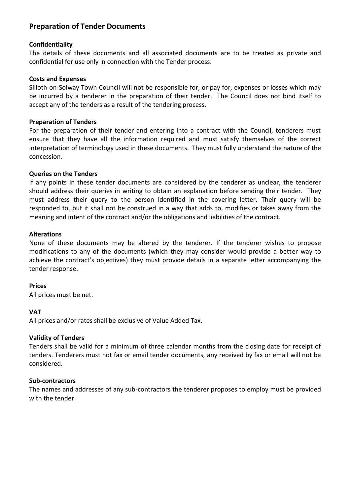## **Preparation of Tender Documents**

## **Confidentiality**

The details of these documents and all associated documents are to be treated as private and confidential for use only in connection with the Tender process.

## **Costs and Expenses**

Silloth-on-Solway Town Council will not be responsible for, or pay for, expenses or losses which may be incurred by a tenderer in the preparation of their tender. The Council does not bind itself to accept any of the tenders as a result of the tendering process.

## **Preparation of Tenders**

For the preparation of their tender and entering into a contract with the Council, tenderers must ensure that they have all the information required and must satisfy themselves of the correct interpretation of terminology used in these documents. They must fully understand the nature of the concession.

## **Queries on the Tenders**

If any points in these tender documents are considered by the tenderer as unclear, the tenderer should address their queries in writing to obtain an explanation before sending their tender. They must address their query to the person identified in the covering letter. Their query will be responded to, but it shall not be construed in a way that adds to, modifies or takes away from the meaning and intent of the contract and/or the obligations and liabilities of the contract.

## **Alterations**

None of these documents may be altered by the tenderer. If the tenderer wishes to propose modifications to any of the documents (which they may consider would provide a better way to achieve the contract's objectives) they must provide details in a separate letter accompanying the tender response.

#### **Prices**

All prices must be net.

## **VAT**

All prices and/or rates shall be exclusive of Value Added Tax.

## **Validity of Tenders**

Tenders shall be valid for a minimum of three calendar months from the closing date for receipt of tenders. Tenderers must not fax or email tender documents, any received by fax or email will not be considered.

#### **Sub-contractors**

The names and addresses of any sub-contractors the tenderer proposes to employ must be provided with the tender.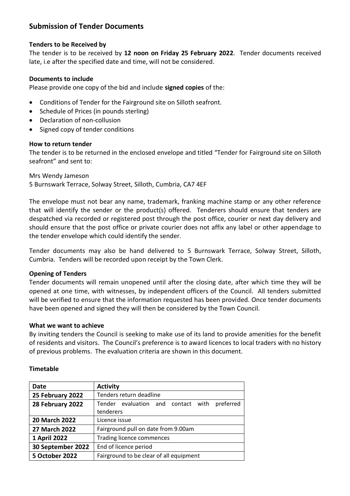## **Submission of Tender Documents**

## **Tenders to be Received by**

The tender is to be received by **12 noon on Friday 25 February 2022**. Tender documents received late, i.e after the specified date and time, will not be considered.

## **Documents to include**

Please provide one copy of the bid and include **signed copies** of the:

- Conditions of Tender for the Fairground site on Silloth seafront.
- Schedule of Prices (in pounds sterling)
- Declaration of non-collusion
- Signed copy of tender conditions

## **How to return tender**

The tender is to be returned in the enclosed envelope and titled "Tender for Fairground site on Silloth seafront" and sent to:

Mrs Wendy Jameson 5 Burnswark Terrace, Solway Street, Silloth, Cumbria, CA7 4EF

The envelope must not bear any name, trademark, franking machine stamp or any other reference that will identify the sender or the product(s) offered. Tenderers should ensure that tenders are despatched via recorded or registered post through the post office, courier or next day delivery and should ensure that the post office or private courier does not affix any label or other appendage to the tender envelope which could identify the sender.

Tender documents may also be hand delivered to 5 Burnswark Terrace, Solway Street, Silloth, Cumbria. Tenders will be recorded upon receipt by the Town Clerk.

## **Opening of Tenders**

Tender documents will remain unopened until after the closing date, after which time they will be opened at one time, with witnesses, by independent officers of the Council. All tenders submitted will be verified to ensure that the information requested has been provided. Once tender documents have been opened and signed they will then be considered by the Town Council.

## **What we want to achieve**

By inviting tenders the Council is seeking to make use of its land to provide amenities for the benefit of residents and visitors. The Council's preference is to award licences to local traders with no history of previous problems. The evaluation criteria are shown in this document.

## **Date Activity 25 February 2022** Tenders return deadline **28 February 2022** Tender evaluation and contact with preferred tenderers **20 March 2022** Licence issue **27 March 2022** Fairground pull on date from 9.00am **1 April 2022** Trading licence commences **30 September 2022** | End of licence period **5 October 2022** Fairground to be clear of all equipment

## **Timetable**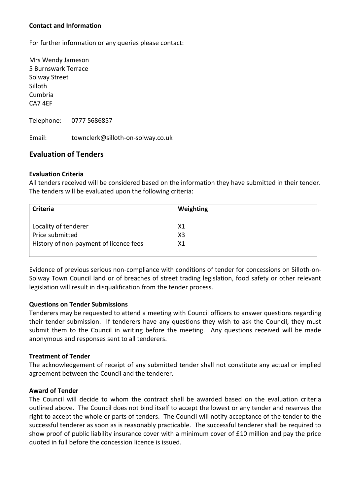## **Contact and Information**

For further information or any queries please contact:

Mrs Wendy Jameson 5 Burnswark Terrace Solway Street Silloth Cumbria CA7 4EF

Telephone: 0777 5686857

Email: townclerk@silloth-on-solway.co.uk

## **Evaluation of Tenders**

## **Evaluation Criteria**

All tenders received will be considered based on the information they have submitted in their tender. The tenders will be evaluated upon the following criteria:

| Criteria                               | Weighting |  |
|----------------------------------------|-----------|--|
|                                        |           |  |
| Locality of tenderer                   | X1        |  |
| Price submitted                        | X3        |  |
| History of non-payment of licence fees | Х1        |  |
|                                        |           |  |

Evidence of previous serious non-compliance with conditions of tender for concessions on Silloth-on-Solway Town Council land or of breaches of street trading legislation, food safety or other relevant legislation will result in disqualification from the tender process.

## **Questions on Tender Submissions**

Tenderers may be requested to attend a meeting with Council officers to answer questions regarding their tender submission. If tenderers have any questions they wish to ask the Council, they must submit them to the Council in writing before the meeting. Any questions received will be made anonymous and responses sent to all tenderers.

## **Treatment of Tender**

The acknowledgement of receipt of any submitted tender shall not constitute any actual or implied agreement between the Council and the tenderer.

## **Award of Tender**

The Council will decide to whom the contract shall be awarded based on the evaluation criteria outlined above. The Council does not bind itself to accept the lowest or any tender and reserves the right to accept the whole or parts of tenders. The Council will notify acceptance of the tender to the successful tenderer as soon as is reasonably practicable. The successful tenderer shall be required to show proof of public liability insurance cover with a minimum cover of £10 million and pay the price quoted in full before the concession licence is issued.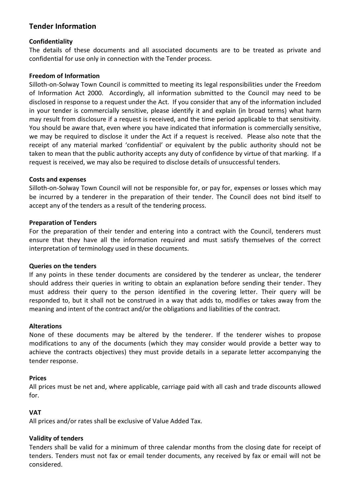## **Tender Information**

## **Confidentiality**

The details of these documents and all associated documents are to be treated as private and confidential for use only in connection with the Tender process.

## **Freedom of Information**

Silloth-on-Solway Town Council is committed to meeting its legal responsibilities under the Freedom of Information Act 2000. Accordingly, all information submitted to the Council may need to be disclosed in response to a request under the Act. If you consider that any of the information included in your tender is commercially sensitive, please identify it and explain (in broad terms) what harm may result from disclosure if a request is received, and the time period applicable to that sensitivity. You should be aware that, even where you have indicated that information is commercially sensitive, we may be required to disclose it under the Act if a request is received. Please also note that the receipt of any material marked 'confidential' or equivalent by the public authority should not be taken to mean that the public authority accepts any duty of confidence by virtue of that marking. If a request is received, we may also be required to disclose details of unsuccessful tenders.

## **Costs and expenses**

Silloth-on-Solway Town Council will not be responsible for, or pay for, expenses or losses which may be incurred by a tenderer in the preparation of their tender. The Council does not bind itself to accept any of the tenders as a result of the tendering process.

## **Preparation of Tenders**

For the preparation of their tender and entering into a contract with the Council, tenderers must ensure that they have all the information required and must satisfy themselves of the correct interpretation of terminology used in these documents.

## **Queries on the tenders**

If any points in these tender documents are considered by the tenderer as unclear, the tenderer should address their queries in writing to obtain an explanation before sending their tender. They must address their query to the person identified in the covering letter. Their query will be responded to, but it shall not be construed in a way that adds to, modifies or takes away from the meaning and intent of the contract and/or the obligations and liabilities of the contract.

## **Alterations**

None of these documents may be altered by the tenderer. If the tenderer wishes to propose modifications to any of the documents (which they may consider would provide a better way to achieve the contracts objectives) they must provide details in a separate letter accompanying the tender response.

## **Prices**

All prices must be net and, where applicable, carriage paid with all cash and trade discounts allowed for.

## **VAT**

All prices and/or rates shall be exclusive of Value Added Tax.

## **Validity of tenders**

Tenders shall be valid for a minimum of three calendar months from the closing date for receipt of tenders. Tenders must not fax or email tender documents, any received by fax or email will not be considered.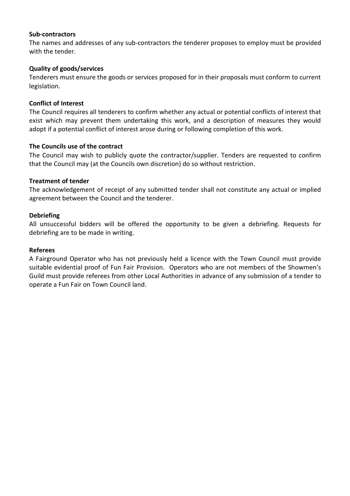## **Sub-contractors**

The names and addresses of any sub-contractors the tenderer proposes to employ must be provided with the tender.

## **Quality of goods/services**

Tenderers must ensure the goods or services proposed for in their proposals must conform to current legislation.

## **Conflict of Interest**

The Council requires all tenderers to confirm whether any actual or potential conflicts of interest that exist which may prevent them undertaking this work, and a description of measures they would adopt if a potential conflict of interest arose during or following completion of this work.

## **The Councils use of the contract**

The Council may wish to publicly quote the contractor/supplier. Tenders are requested to confirm that the Council may (at the Councils own discretion) do so without restriction.

## **Treatment of tender**

The acknowledgement of receipt of any submitted tender shall not constitute any actual or implied agreement between the Council and the tenderer.

## **Debriefing**

All unsuccessful bidders will be offered the opportunity to be given a debriefing. Requests for debriefing are to be made in writing.

## **Referees**

A Fairground Operator who has not previously held a licence with the Town Council must provide suitable evidential proof of Fun Fair Provision. Operators who are not members of the Showmen's Guild must provide referees from other Local Authorities in advance of any submission of a tender to operate a Fun Fair on Town Council land.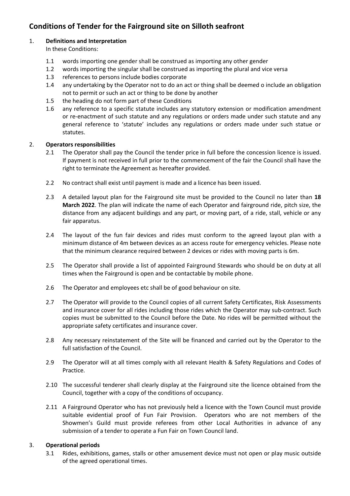## **Conditions of Tender for the Fairground site on Silloth seafront**

## 1. **Definitions and Interpretation**

- In these Conditions:
- 1.1 words importing one gender shall be construed as importing any other gender
- 1.2 words importing the singular shall be construed as importing the plural and vice versa
- 1.3 references to persons include bodies corporate
- 1.4 any undertaking by the Operator not to do an act or thing shall be deemed o include an obligation not to permit or such an act or thing to be done by another
- 1.5 the heading do not form part of these Conditions
- 1.6 any reference to a specific statute includes any statutory extension or modification amendment or re-enactment of such statute and any regulations or orders made under such statute and any general reference to 'statute' includes any regulations or orders made under such statue or statutes.

## 2. **Operators responsibilities**

- 2.1 The Operator shall pay the Council the tender price in full before the concession licence is issued. If payment is not received in full prior to the commencement of the fair the Council shall have the right to terminate the Agreement as hereafter provided.
- 2.2 No contract shall exist until payment is made and a licence has been issued.
- 2.3 A detailed layout plan for the Fairground site must be provided to the Council no later than **18 March 2022**. The plan will indicate the name of each Operator and fairground ride, pitch size, the distance from any adjacent buildings and any part, or moving part, of a ride, stall, vehicle or any fair apparatus.
- 2.4 The layout of the fun fair devices and rides must conform to the agreed layout plan with a minimum distance of 4m between devices as an access route for emergency vehicles. Please note that the minimum clearance required between 2 devices or rides with moving parts is 6m.
- 2.5 The Operator shall provide a list of appointed Fairground Stewards who should be on duty at all times when the Fairground is open and be contactable by mobile phone.
- 2.6 The Operator and employees etc shall be of good behaviour on site.
- 2.7 The Operator will provide to the Council copies of all current Safety Certificates, Risk Assessments and insurance cover for all rides including those rides which the Operator may sub-contract. Such copies must be submitted to the Council before the Date. No rides will be permitted without the appropriate safety certificates and insurance cover.
- 2.8 Any necessary reinstatement of the Site will be financed and carried out by the Operator to the full satisfaction of the Council.
- 2.9 The Operator will at all times comply with all relevant Health & Safety Regulations and Codes of Practice.
- 2.10 The successful tenderer shall clearly display at the Fairground site the licence obtained from the Council, together with a copy of the conditions of occupancy.
- 2.11 A Fairground Operator who has not previously held a licence with the Town Council must provide suitable evidential proof of Fun Fair Provision. Operators who are not members of the Showmen's Guild must provide referees from other Local Authorities in advance of any submission of a tender to operate a Fun Fair on Town Council land.

## 3. **Operational periods**

3.1 Rides, exhibitions, games, stalls or other amusement device must not open or play music outside of the agreed operational times.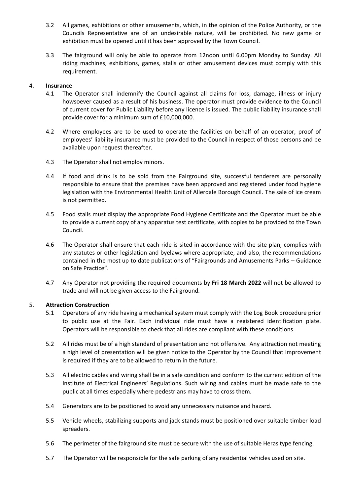- 3.2 All games, exhibitions or other amusements, which, in the opinion of the Police Authority, or the Councils Representative are of an undesirable nature, will be prohibited. No new game or exhibition must be opened until it has been approved by the Town Council.
- 3.3 The fairground will only be able to operate from 12noon until 6.00pm Monday to Sunday. All riding machines, exhibitions, games, stalls or other amusement devices must comply with this requirement.

#### 4. **Insurance**

- 4.1 The Operator shall indemnify the Council against all claims for loss, damage, illness or injury howsoever caused as a result of his business. The operator must provide evidence to the Council of current cover for Public Liability before any licence is issued. The public liability insurance shall provide cover for a minimum sum of £10,000,000.
- 4.2 Where employees are to be used to operate the facilities on behalf of an operator, proof of employees' liability insurance must be provided to the Council in respect of those persons and be available upon request thereafter.
- 4.3 The Operator shall not employ minors.
- 4.4 If food and drink is to be sold from the Fairground site, successful tenderers are personally responsible to ensure that the premises have been approved and registered under food hygiene legislation with the Environmental Health Unit of Allerdale Borough Council. The sale of ice cream is not permitted.
- 4.5 Food stalls must display the appropriate Food Hygiene Certificate and the Operator must be able to provide a current copy of any apparatus test certificate, with copies to be provided to the Town Council.
- 4.6 The Operator shall ensure that each ride is sited in accordance with the site plan, complies with any statutes or other legislation and byelaws where appropriate, and also, the recommendations contained in the most up to date publications of "Fairgrounds and Amusements Parks – Guidance on Safe Practice".
- 4.7 Any Operator not providing the required documents by **Fri 18 March 2022** will not be allowed to trade and will not be given access to the Fairground*.*

#### 5. **Attraction Construction**

- 5.1 Operators of any ride having a mechanical system must comply with the Log Book procedure prior to public use at the Fair. Each individual ride must have a registered identification plate. Operators will be responsible to check that all rides are compliant with these conditions.
- 5.2 All rides must be of a high standard of presentation and not offensive. Any attraction not meeting a high level of presentation will be given notice to the Operator by the Council that improvement is required if they are to be allowed to return in the future.
- 5.3 All electric cables and wiring shall be in a safe condition and conform to the current edition of the Institute of Electrical Engineers' Regulations. Such wiring and cables must be made safe to the public at all times especially where pedestrians may have to cross them.
- 5.4 Generators are to be positioned to avoid any unnecessary nuisance and hazard.
- 5.5 Vehicle wheels, stabilizing supports and jack stands must be positioned over suitable timber load spreaders.
- 5.6 The perimeter of the fairground site must be secure with the use of suitable Heras type fencing.
- 5.7 The Operator will be responsible for the safe parking of any residential vehicles used on site.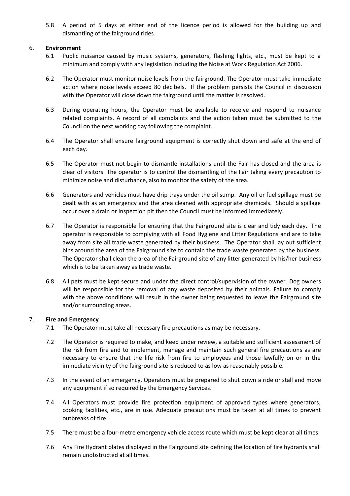5.8 A period of 5 days at either end of the licence period is allowed for the building up and dismantling of the fairground rides.

## 6. **Environment**

- 6.1 Public nuisance caused by music systems, generators, flashing lights, etc., must be kept to a minimum and comply with any legislation including the Noise at Work Regulation Act 2006.
- 6.2 The Operator must monitor noise levels from the fairground. The Operator must take immediate action where noise levels exceed 80 decibels. If the problem persists the Council in discussion with the Operator will close down the fairground until the matter is resolved.
- 6.3 During operating hours, the Operator must be available to receive and respond to nuisance related complaints. A record of all complaints and the action taken must be submitted to the Council on the next working day following the complaint.
- 6.4 The Operator shall ensure fairground equipment is correctly shut down and safe at the end of each day.
- 6.5 The Operator must not begin to dismantle installations until the Fair has closed and the area is clear of visitors. The operator is to control the dismantling of the Fair taking every precaution to minimize noise and disturbance, also to monitor the safety of the area.
- 6.6 Generators and vehicles must have drip trays under the oil sump. Any oil or fuel spillage must be dealt with as an emergency and the area cleaned with appropriate chemicals. Should a spillage occur over a drain or inspection pit then the Council must be informed immediately.
- 6.7 The Operator is responsible for ensuring that the Fairground site is clear and tidy each day. The operator is responsible to complying with all Food Hygiene and Litter Regulations and are to take away from site all trade waste generated by their business. The Operator shall lay out sufficient bins around the area of the Fairground site to contain the trade waste generated by the business. The Operator shall clean the area of the Fairground site of any litter generated by his/her business which is to be taken away as trade waste.
- 6.8 All pets must be kept secure and under the direct control/supervision of the owner. Dog owners will be responsible for the removal of any waste deposited by their animals. Failure to comply with the above conditions will result in the owner being requested to leave the Fairground site and/or surrounding areas.

## 7. **Fire and Emergency**

- 7.1 The Operator must take all necessary fire precautions as may be necessary.
- 7.2 The Operator is required to make, and keep under review, a suitable and sufficient assessment of the risk from fire and to implement, manage and maintain such general fire precautions as are necessary to ensure that the life risk from fire to employees and those lawfully on or in the immediate vicinity of the fairground site is reduced to as low as reasonably possible.
- 7.3 In the event of an emergency, Operators must be prepared to shut down a ride or stall and move any equipment if so required by the Emergency Services.
- 7.4 All Operators must provide fire protection equipment of approved types where generators, cooking facilities, etc., are in use. Adequate precautions must be taken at all times to prevent outbreaks of fire.
- 7.5 There must be a four-metre emergency vehicle access route which must be kept clear at all times.
- 7.6 Any Fire Hydrant plates displayed in the Fairground site defining the location of fire hydrants shall remain unobstructed at all times.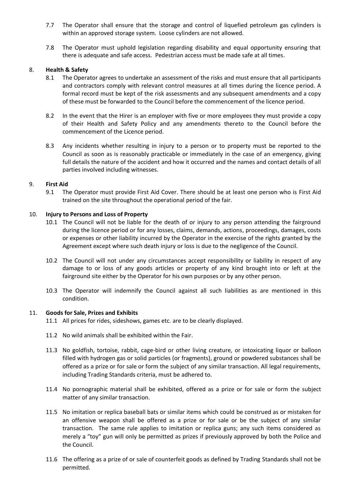- 7.7 The Operator shall ensure that the storage and control of liquefied petroleum gas cylinders is within an approved storage system. Loose cylinders are not allowed.
- 7.8 The Operator must uphold legislation regarding disability and equal opportunity ensuring that there is adequate and safe access. Pedestrian access must be made safe at all times.

#### 8. **Health & Safety**

- 8.1 The Operator agrees to undertake an assessment of the risks and must ensure that all participants and contractors comply with relevant control measures at all times during the licence period. A formal record must be kept of the risk assessments and any subsequent amendments and a copy of these must be forwarded to the Council before the commencement of the licence period.
- 8.2 In the event that the Hirer is an employer with five or more employees they must provide a copy of their Health and Safety Policy and any amendments thereto to the Council before the commencement of the Licence period.
- 8.3 Any incidents whether resulting in injury to a person or to property must be reported to the Council as soon as is reasonably practicable or immediately in the case of an emergency, giving full details the nature of the accident and how it occurred and the names and contact details of all parties involved including witnesses.

#### 9. **First Aid**

9.1 The Operator must provide First Aid Cover. There should be at least one person who is First Aid trained on the site throughout the operational period of the fair.

#### 10. **Injury to Persons and Loss of Property**

- 10.1 The Council will not be liable for the death of or injury to any person attending the fairground during the licence period or for any losses, claims, demands, actions, proceedings, damages, costs or expenses or other liability incurred by the Operator in the exercise of the rights granted by the Agreement except where such death injury or loss is due to the negligence of the Council.
- 10.2 The Council will not under any circumstances accept responsibility or liability in respect of any damage to or loss of any goods articles or property of any kind brought into or left at the fairground site either by the Operator for his own purposes or by any other person.
- 10.3 The Operator will indemnify the Council against all such liabilities as are mentioned in this condition.

#### 11. **Goods for Sale, Prizes and Exhibits**

- 11.1 All prices for rides, sideshows, games etc. are to be clearly displayed.
- 11.2 No wild animals shall be exhibited within the Fair.
- 11.3 No goldfish, tortoise, rabbit, cage-bird or other living creature, or intoxicating liquor or balloon filled with hydrogen gas or solid particles (or fragments), ground or powdered substances shall be offered as a prize or for sale or form the subject of any similar transaction. All legal requirements, including Trading Standards criteria, must be adhered to.
- 11.4 No pornographic material shall be exhibited, offered as a prize or for sale or form the subject matter of any similar transaction.
- 11.5 No imitation or replica baseball bats or similar items which could be construed as or mistaken for an offensive weapon shall be offered as a prize or for sale or be the subject of any similar transaction. The same rule applies to imitation or replica guns; any such items considered as merely a "toy" gun will only be permitted as prizes if previously approved by both the Police and the Council.
- 11.6 The offering as a prize of or sale of counterfeit goods as defined by Trading Standards shall not be permitted.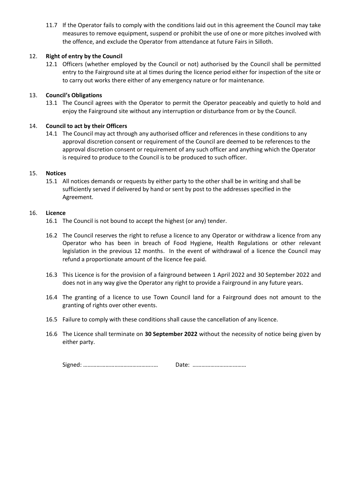11.7 If the Operator fails to comply with the conditions laid out in this agreement the Council may take measures to remove equipment, suspend or prohibit the use of one or more pitches involved with the offence, and exclude the Operator from attendance at future Fairs in Silloth.

## 12. **Right of entry by the Council**

12.1 Officers (whether employed by the Council or not) authorised by the Council shall be permitted entry to the Fairground site at al times during the licence period either for inspection of the site or to carry out works there either of any emergency nature or for maintenance.

## 13. **Council's Obligations**

13.1 The Council agrees with the Operator to permit the Operator peaceably and quietly to hold and enjoy the Fairground site without any interruption or disturbance from or by the Council.

## 14. **Council to act by their Officers**

14.1 The Council may act through any authorised officer and references in these conditions to any approval discretion consent or requirement of the Council are deemed to be references to the approval discretion consent or requirement of any such officer and anything which the Operator is required to produce to the Council is to be produced to such officer.

#### 15. **Notices**

15.1 All notices demands or requests by either party to the other shall be in writing and shall be sufficiently served if delivered by hand or sent by post to the addresses specified in the Agreement.

#### 16. **Licence**

- 16.1 The Council is not bound to accept the highest (or any) tender.
- 16.2 The Council reserves the right to refuse a licence to any Operator or withdraw a licence from any Operator who has been in breach of Food Hygiene, Health Regulations or other relevant legislation in the previous 12 months. In the event of withdrawal of a licence the Council may refund a proportionate amount of the licence fee paid.
- 16.3 This Licence is for the provision of a fairground between 1 April 2022 and 30 September 2022 and does not in any way give the Operator any right to provide a Fairground in any future years.
- 16.4 The granting of a licence to use Town Council land for a Fairground does not amount to the granting of rights over other events.
- 16.5 Failure to comply with these conditions shall cause the cancellation of any licence.
- 16.6 The Licence shall terminate on **30 September 2022** without the necessity of notice being given by either party.

|--|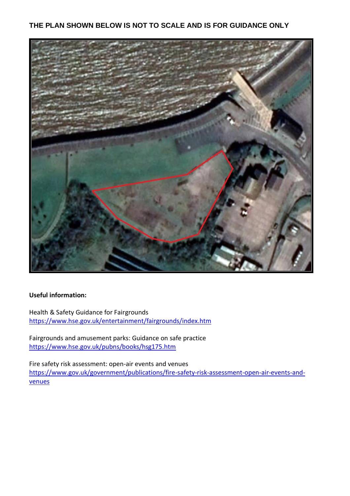## **THE PLAN SHOWN BELOW IS NOT TO SCALE AND IS FOR GUIDANCE ONLY**



## **Useful information:**

Health & Safety Guidance for Fairgrounds <https://www.hse.gov.uk/entertainment/fairgrounds/index.htm>

Fairgrounds and amusement parks: Guidance on safe practice <https://www.hse.gov.uk/pubns/books/hsg175.htm>

Fire safety risk assessment: open-air events and venues [https://www.gov.uk/government/publications/fire-safety-risk-assessment-open-air-events-and](https://www.gov.uk/government/publications/fire-safety-risk-assessment-open-air-events-and-venues)[venues](https://www.gov.uk/government/publications/fire-safety-risk-assessment-open-air-events-and-venues)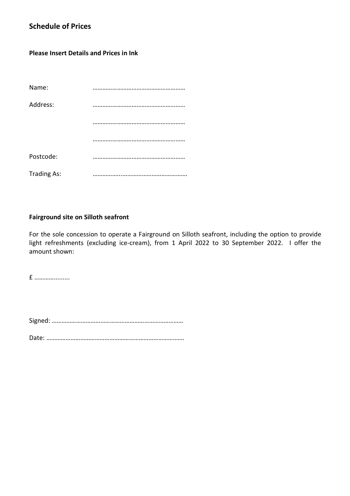## **Schedule of Prices**

## **Please Insert Details and Prices in Ink**

| Name:              |  |
|--------------------|--|
| Address:           |  |
|                    |  |
|                    |  |
| Postcode:          |  |
| <b>Trading As:</b> |  |

## **Fairground site on Silloth seafront**

For the sole concession to operate a Fairground on Silloth seafront, including the option to provide light refreshments (excluding ice-cream), from 1 April 2022 to 30 September 2022. I offer the amount shown:

£ ………….........

Signed: ………………………………………………………………………

Date: ………………………………………………………………………….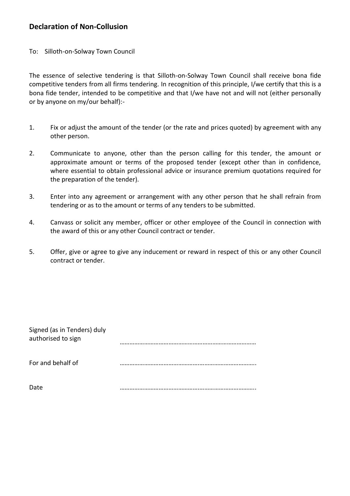## **Declaration of Non-Collusion**

To: Silloth-on-Solway Town Council

The essence of selective tendering is that Silloth-on-Solway Town Council shall receive bona fide competitive tenders from all firms tendering. In recognition of this principle, I/we certify that this is a bona fide tender, intended to be competitive and that I/we have not and will not (either personally or by anyone on my/our behalf):-

- 1. Fix or adjust the amount of the tender (or the rate and prices quoted) by agreement with any other person.
- 2. Communicate to anyone, other than the person calling for this tender, the amount or approximate amount or terms of the proposed tender (except other than in confidence, where essential to obtain professional advice or insurance premium quotations required for the preparation of the tender).
- 3. Enter into any agreement or arrangement with any other person that he shall refrain from tendering or as to the amount or terms of any tenders to be submitted.
- 4. Canvass or solicit any member, officer or other employee of the Council in connection with the award of this or any other Council contract or tender.
- 5. Offer, give or agree to give any inducement or reward in respect of this or any other Council contract or tender.

| Signed (as in Tenders) duly<br>authorised to sign |  |
|---------------------------------------------------|--|
| For and behalf of                                 |  |
| Date                                              |  |